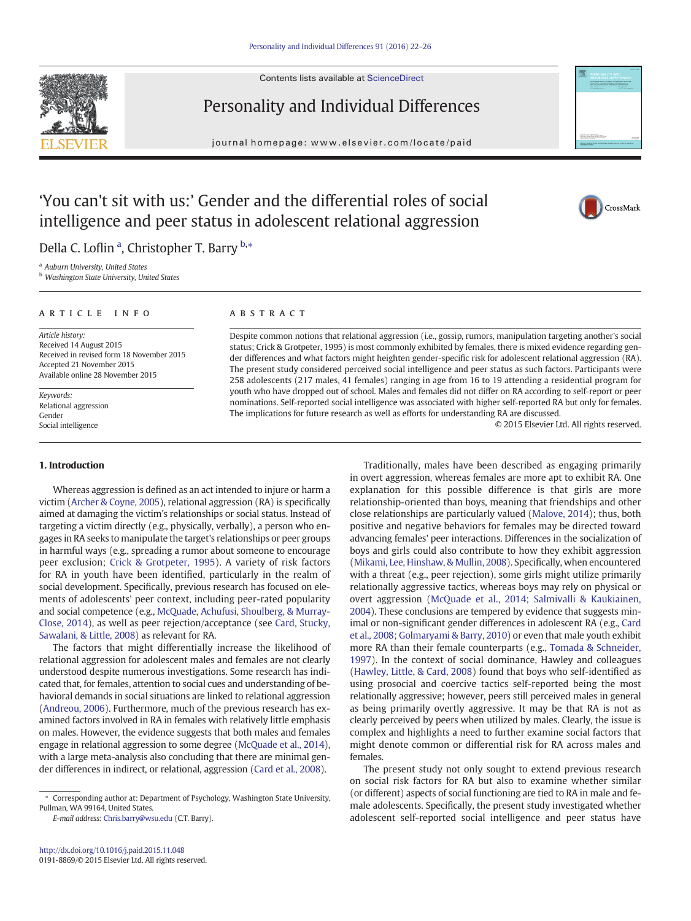Contents lists available at [ScienceDirect](http://www.sciencedirect.com/science/journal/)



Personality and Individual Differences

journal homepage:<www.elsevier.com/locate/paid>



## 'You can't sit with us:' Gender and the differential roles of social intelligence and peer status in adolescent relational aggression



Della C. Loflin<sup>a</sup>, Christopher T. Barry <sup>b,\*</sup>

<sup>a</sup> Auburn University, United States

**b** Washington State University, United States

#### article info abstract

Article history: Received 14 August 2015 Received in revised form 18 November 2015 Accepted 21 November 2015 Available online 28 November 2015

Keywords: Relational aggression Gender Social intelligence

#### 1. Introduction

Whereas aggression is defined as an act intended to injure or harm a victim [\(Archer & Coyne, 2005\)](#page--1-0), relational aggression (RA) is specifically aimed at damaging the victim's relationships or social status. Instead of targeting a victim directly (e.g., physically, verbally), a person who engages in RA seeks to manipulate the target's relationships or peer groups in harmful ways (e.g., spreading a rumor about someone to encourage peer exclusion; [Crick & Grotpeter, 1995](#page--1-0)). A variety of risk factors for RA in youth have been identified, particularly in the realm of social development. Specifically, previous research has focused on elements of adolescents' peer context, including peer-rated popularity and social competence (e.g., [McQuade, Achufusi, Shoulberg, & Murray-](#page--1-0)[Close, 2014\)](#page--1-0), as well as peer rejection/acceptance (see [Card, Stucky,](#page--1-0) [Sawalani, & Little, 2008](#page--1-0)) as relevant for RA.

The factors that might differentially increase the likelihood of relational aggression for adolescent males and females are not clearly understood despite numerous investigations. Some research has indicated that, for females, attention to social cues and understanding of behavioral demands in social situations are linked to relational aggression [\(Andreou, 2006](#page--1-0)). Furthermore, much of the previous research has examined factors involved in RA in females with relatively little emphasis on males. However, the evidence suggests that both males and females engage in relational aggression to some degree [\(McQuade et al., 2014\)](#page--1-0), with a large meta-analysis also concluding that there are minimal gender differences in indirect, or relational, aggression [\(Card et al., 2008](#page--1-0)).

E-mail address: [Chris.barry@wsu.edu](mailto:Chris.barry@wsu.edu) (C.T. Barry).

Despite common notions that relational aggression (i.e., gossip, rumors, manipulation targeting another's social status; Crick & Grotpeter, 1995) is most commonly exhibited by females, there is mixed evidence regarding gender differences and what factors might heighten gender-specific risk for adolescent relational aggression (RA). The present study considered perceived social intelligence and peer status as such factors. Participants were 258 adolescents (217 males, 41 females) ranging in age from 16 to 19 attending a residential program for youth who have dropped out of school. Males and females did not differ on RA according to self-report or peer nominations. Self-reported social intelligence was associated with higher self-reported RA but only for females. The implications for future research as well as efforts for understanding RA are discussed.

© 2015 Elsevier Ltd. All rights reserved.

Traditionally, males have been described as engaging primarily in overt aggression, whereas females are more apt to exhibit RA. One explanation for this possible difference is that girls are more relationship-oriented than boys, meaning that friendships and other close relationships are particularly valued ([Malove, 2014\)](#page--1-0); thus, both positive and negative behaviors for females may be directed toward advancing females' peer interactions. Differences in the socialization of boys and girls could also contribute to how they exhibit aggression [\(Mikami, Lee, Hinshaw, & Mullin, 2008\)](#page--1-0). Specifically, when encountered with a threat (e.g., peer rejection), some girls might utilize primarily relationally aggressive tactics, whereas boys may rely on physical or overt aggression ([McQuade et al., 2014; Salmivalli & Kaukiainen,](#page--1-0) [2004\)](#page--1-0). These conclusions are tempered by evidence that suggests minimal or non-significant gender differences in adolescent RA (e.g., [Card](#page--1-0) [et al., 2008; Golmaryami & Barry, 2010](#page--1-0)) or even that male youth exhibit more RA than their female counterparts (e.g., [Tomada & Schneider,](#page--1-0) [1997](#page--1-0)). In the context of social dominance, Hawley and colleagues [\(Hawley, Little, & Card, 2008](#page--1-0)) found that boys who self-identified as using prosocial and coercive tactics self-reported being the most relationally aggressive; however, peers still perceived males in general as being primarily overtly aggressive. It may be that RA is not as clearly perceived by peers when utilized by males. Clearly, the issue is complex and highlights a need to further examine social factors that might denote common or differential risk for RA across males and females.

The present study not only sought to extend previous research on social risk factors for RA but also to examine whether similar (or different) aspects of social functioning are tied to RA in male and female adolescents. Specifically, the present study investigated whether adolescent self-reported social intelligence and peer status have

<sup>⁎</sup> Corresponding author at: Department of Psychology, Washington State University, Pullman, WA 99164, United States.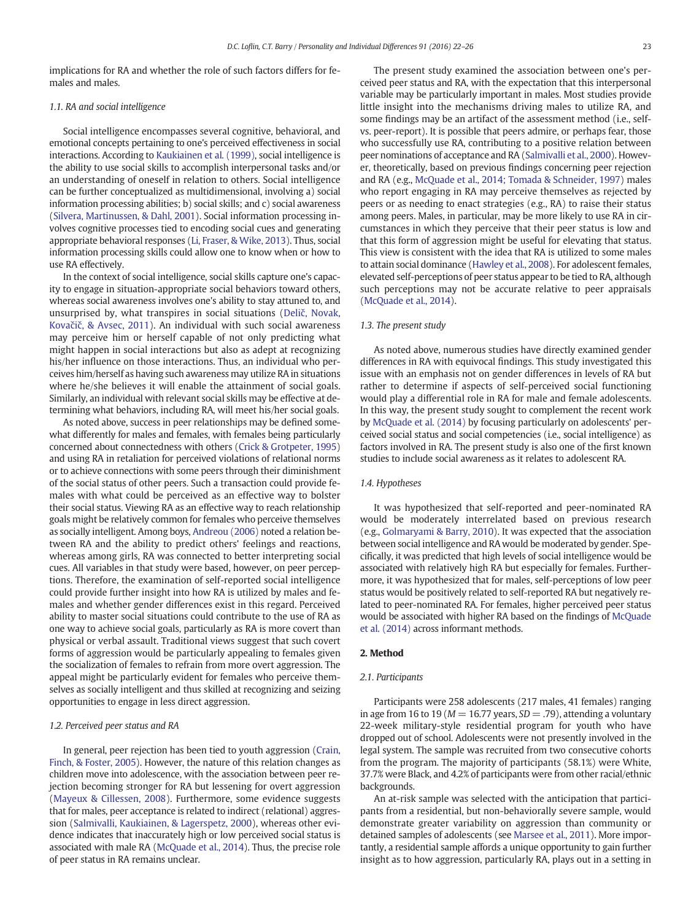implications for RA and whether the role of such factors differs for females and males.

#### 1.1. RA and social intelligence

Social intelligence encompasses several cognitive, behavioral, and emotional concepts pertaining to one's perceived effectiveness in social interactions. According to [Kaukiainen et al. \(1999\),](#page--1-0) social intelligence is the ability to use social skills to accomplish interpersonal tasks and/or an understanding of oneself in relation to others. Social intelligence can be further conceptualized as multidimensional, involving a) social information processing abilities; b) social skills; and c) social awareness [\(Silvera, Martinussen, & Dahl, 2001](#page--1-0)). Social information processing involves cognitive processes tied to encoding social cues and generating appropriate behavioral responses [\(Li, Fraser, & Wike, 2013](#page--1-0)). Thus, social information processing skills could allow one to know when or how to use RA effectively.

In the context of social intelligence, social skills capture one's capacity to engage in situation-appropriate social behaviors toward others, whereas social awareness involves one's ability to stay attuned to, and unsurprised by, what transpires in social situations (Delič[, Novak,](#page--1-0) Kovačič[, & Avsec, 2011\)](#page--1-0). An individual with such social awareness may perceive him or herself capable of not only predicting what might happen in social interactions but also as adept at recognizing his/her influence on those interactions. Thus, an individual who perceives him/herself as having such awareness may utilize RA in situations where he/she believes it will enable the attainment of social goals. Similarly, an individual with relevant social skills may be effective at determining what behaviors, including RA, will meet his/her social goals.

As noted above, success in peer relationships may be defined somewhat differently for males and females, with females being particularly concerned about connectedness with others ([Crick & Grotpeter, 1995](#page--1-0)) and using RA in retaliation for perceived violations of relational norms or to achieve connections with some peers through their diminishment of the social status of other peers. Such a transaction could provide females with what could be perceived as an effective way to bolster their social status. Viewing RA as an effective way to reach relationship goals might be relatively common for females who perceive themselves as socially intelligent. Among boys, [Andreou \(2006\)](#page--1-0) noted a relation between RA and the ability to predict others' feelings and reactions, whereas among girls, RA was connected to better interpreting social cues. All variables in that study were based, however, on peer perceptions. Therefore, the examination of self-reported social intelligence could provide further insight into how RA is utilized by males and females and whether gender differences exist in this regard. Perceived ability to master social situations could contribute to the use of RA as one way to achieve social goals, particularly as RA is more covert than physical or verbal assault. Traditional views suggest that such covert forms of aggression would be particularly appealing to females given the socialization of females to refrain from more overt aggression. The appeal might be particularly evident for females who perceive themselves as socially intelligent and thus skilled at recognizing and seizing opportunities to engage in less direct aggression.

#### 1.2. Perceived peer status and RA

In general, peer rejection has been tied to youth aggression ([Crain,](#page--1-0) [Finch, & Foster, 2005](#page--1-0)). However, the nature of this relation changes as children move into adolescence, with the association between peer rejection becoming stronger for RA but lessening for overt aggression [\(Mayeux & Cillessen, 2008](#page--1-0)). Furthermore, some evidence suggests that for males, peer acceptance is related to indirect (relational) aggression [\(Salmivalli, Kaukiainen, & Lagerspetz, 2000](#page--1-0)), whereas other evidence indicates that inaccurately high or low perceived social status is associated with male RA [\(McQuade et al., 2014](#page--1-0)). Thus, the precise role of peer status in RA remains unclear.

The present study examined the association between one's perceived peer status and RA, with the expectation that this interpersonal variable may be particularly important in males. Most studies provide little insight into the mechanisms driving males to utilize RA, and some findings may be an artifact of the assessment method (i.e., selfvs. peer-report). It is possible that peers admire, or perhaps fear, those who successfully use RA, contributing to a positive relation between peer nominations of acceptance and RA [\(Salmivalli et al., 2000\)](#page--1-0). However, theoretically, based on previous findings concerning peer rejection and RA (e.g., [McQuade et al., 2014; Tomada & Schneider, 1997\)](#page--1-0) males who report engaging in RA may perceive themselves as rejected by peers or as needing to enact strategies (e.g., RA) to raise their status among peers. Males, in particular, may be more likely to use RA in circumstances in which they perceive that their peer status is low and that this form of aggression might be useful for elevating that status. This view is consistent with the idea that RA is utilized to some males to attain social dominance [\(Hawley et al., 2008](#page--1-0)). For adolescent females, elevated self-perceptions of peer status appear to be tied to RA, although such perceptions may not be accurate relative to peer appraisals [\(McQuade et al., 2014](#page--1-0)).

#### 1.3. The present study

As noted above, numerous studies have directly examined gender differences in RA with equivocal findings. This study investigated this issue with an emphasis not on gender differences in levels of RA but rather to determine if aspects of self-perceived social functioning would play a differential role in RA for male and female adolescents. In this way, the present study sought to complement the recent work by [McQuade et al. \(2014\)](#page--1-0) by focusing particularly on adolescents' perceived social status and social competencies (i.e., social intelligence) as factors involved in RA. The present study is also one of the first known studies to include social awareness as it relates to adolescent RA.

#### 1.4. Hypotheses

It was hypothesized that self-reported and peer-nominated RA would be moderately interrelated based on previous research (e.g., [Golmaryami & Barry, 2010](#page--1-0)). It was expected that the association between social intelligence and RA would be moderated by gender. Specifically, it was predicted that high levels of social intelligence would be associated with relatively high RA but especially for females. Furthermore, it was hypothesized that for males, self-perceptions of low peer status would be positively related to self-reported RA but negatively related to peer-nominated RA. For females, higher perceived peer status would be associated with higher RA based on the findings of [McQuade](#page--1-0) [et al. \(2014\)](#page--1-0) across informant methods.

### 2. Method

### 2.1. Participants

Participants were 258 adolescents (217 males, 41 females) ranging in age from 16 to 19 ( $M = 16.77$  years,  $SD = .79$ ), attending a voluntary 22-week military-style residential program for youth who have dropped out of school. Adolescents were not presently involved in the legal system. The sample was recruited from two consecutive cohorts from the program. The majority of participants (58.1%) were White, 37.7% were Black, and 4.2% of participants were from other racial/ethnic backgrounds.

An at-risk sample was selected with the anticipation that participants from a residential, but non-behaviorally severe sample, would demonstrate greater variability on aggression than community or detained samples of adolescents (see [Marsee et al., 2011\)](#page--1-0). More importantly, a residential sample affords a unique opportunity to gain further insight as to how aggression, particularly RA, plays out in a setting in